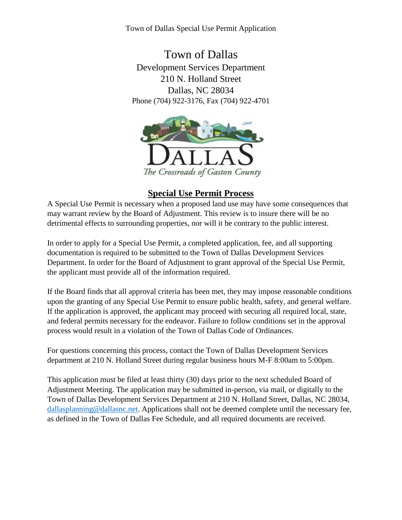Town of Dallas Special Use Permit Application

Town of Dallas Development Services Department 210 N. Holland Street Dallas, NC 28034 Phone (704) 922-3176, Fax (704) 922-4701



# **Special Use Permit Process**

A Special Use Permit is necessary when a proposed land use may have some consequences that may warrant review by the Board of Adjustment. This review is to insure there will be no detrimental effects to surrounding properties, nor will it be contrary to the public interest.

In order to apply for a Special Use Permit, a completed application, fee, and all supporting documentation is required to be submitted to the Town of Dallas Development Services Department. In order for the Board of Adjustment to grant approval of the Special Use Permit, the applicant must provide all of the information required.

If the Board finds that all approval criteria has been met, they may impose reasonable conditions upon the granting of any Special Use Permit to ensure public health, safety, and general welfare. If the application is approved, the applicant may proceed with securing all required local, state, and federal permits necessary for the endeavor. Failure to follow conditions set in the approval process would result in a violation of the Town of Dallas Code of Ordinances.

For questions concerning this process, contact the Town of Dallas Development Services department at 210 N. Holland Street during regular business hours M-F 8:00am to 5:00pm.

This application must be filed at least thirty (30) days prior to the next scheduled Board of Adjustment Meeting. The application may be submitted in-person, via mail, or digitally to the Town of Dallas Development Services Department at 210 N. Holland Street, Dallas, NC 28034, [dallasplanning@dallasnc.net.](mailto:dallasplanning@dallasnc.net) Applications shall not be deemed complete until the necessary fee, as defined in the Town of Dallas Fee Schedule, and all required documents are received.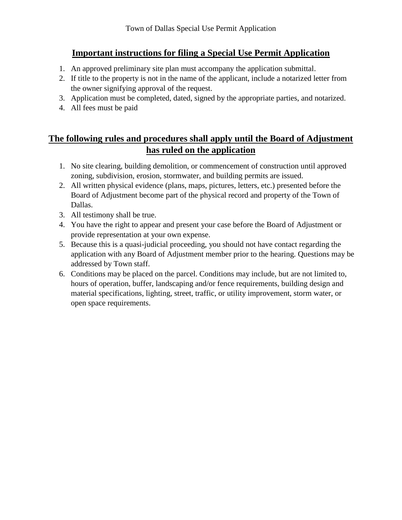# **Important instructions for filing a Special Use Permit Application**

- 1. An approved preliminary site plan must accompany the application submittal.
- 2. If title to the property is not in the name of the applicant, include a notarized letter from the owner signifying approval of the request.
- 3. Application must be completed, dated, signed by the appropriate parties, and notarized.
- 4. All fees must be paid

# **The following rules and procedures shall apply until the Board of Adjustment has ruled on the application**

- 1. No site clearing, building demolition, or commencement of construction until approved zoning, subdivision, erosion, stormwater, and building permits are issued.
- 2. All written physical evidence (plans, maps, pictures, letters, etc.) presented before the Board of Adjustment become part of the physical record and property of the Town of Dallas.
- 3. All testimony shall be true.
- 4. You have the right to appear and present your case before the Board of Adjustment or provide representation at your own expense.
- 5. Because this is a quasi-judicial proceeding, you should not have contact regarding the application with any Board of Adjustment member prior to the hearing. Questions may be addressed by Town staff.
- 6. Conditions may be placed on the parcel. Conditions may include, but are not limited to, hours of operation, buffer, landscaping and/or fence requirements, building design and material specifications, lighting, street, traffic, or utility improvement, storm water, or open space requirements.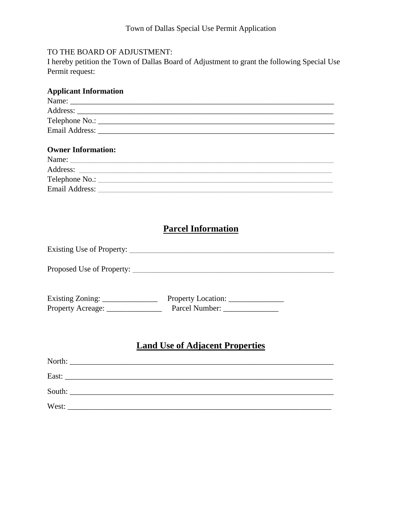#### TO THE BOARD OF ADJUSTMENT:

I hereby petition the Town of Dallas Board of Adjustment to grant the following Special Use Permit request:

# **Parcel Information**

# **Land Use of Adjacent Properties**

| South: |  |
|--------|--|
| West:  |  |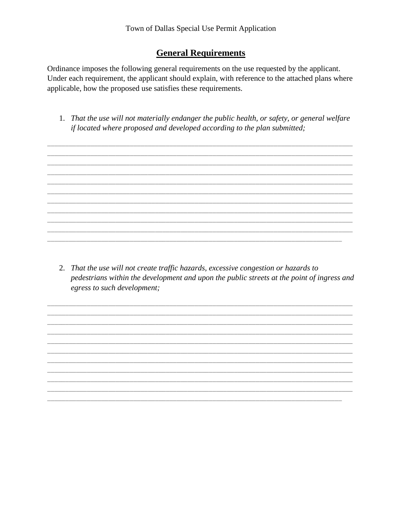### **General Requirements**

Ordinance imposes the following general requirements on the use requested by the applicant. Under each requirement, the applicant should explain, with reference to the attached plans where applicable, how the proposed use satisfies these requirements.

1. That the use will not materially endanger the public health, or safety, or general welfare if located where proposed and developed according to the plan submitted;

2. That the use will not create traffic hazards, excessive congestion or hazards to pedestrians within the development and upon the public streets at the point of ingress and egress to such development;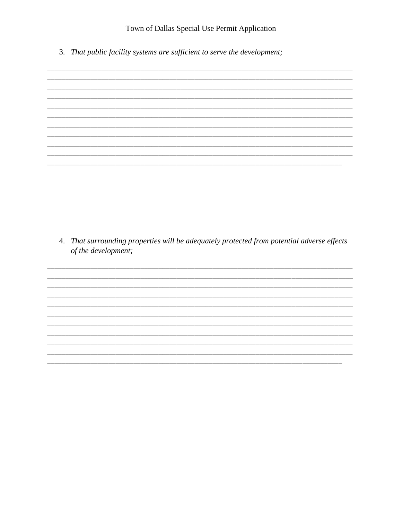Town of Dallas Special Use Permit Application

3. That public facility systems are sufficient to serve the development;

4. That surrounding properties will be adequately protected from potential adverse effects of the development;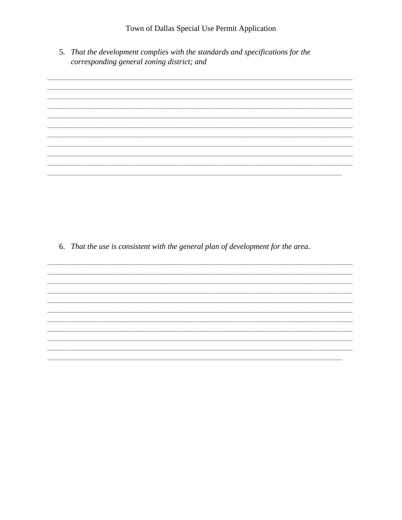5. That the development complies with the standards and specifications for the corresponding general zoning district; and



6. That the use is consistent with the general plan of development for the area.